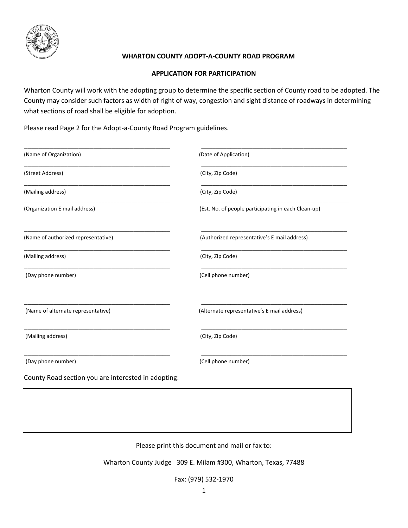

## **WHARTON COUNTY ADOPT-A-COUNTY ROAD PROGRAM**

## **APPLICATION FOR PARTICIPATION**

Wharton County will work with the adopting group to determine the specific section of County road to be adopted. The County may consider such factors as width of right of way, congestion and sight distance of roadways in determining what sections of road shall be eligible for adoption.

Please read Page 2 for the Adopt-a-County Road Program guidelines.

| (Date of Application)                               |
|-----------------------------------------------------|
| (City, Zip Code)                                    |
| (City, Zip Code)                                    |
| (Est. No. of people participating in each Clean-up) |
| (Authorized representative's E mail address)        |
| (City, Zip Code)                                    |
| (Cell phone number)                                 |
| (Alternate representative's E mail address)         |
| (City, Zip Code)                                    |
| (Cell phone number)                                 |
|                                                     |

Please print this document and mail or fax to:

Wharton County Judge 309 E. Milam #300, Wharton, Texas, 77488

Fax: (979) 532-1970